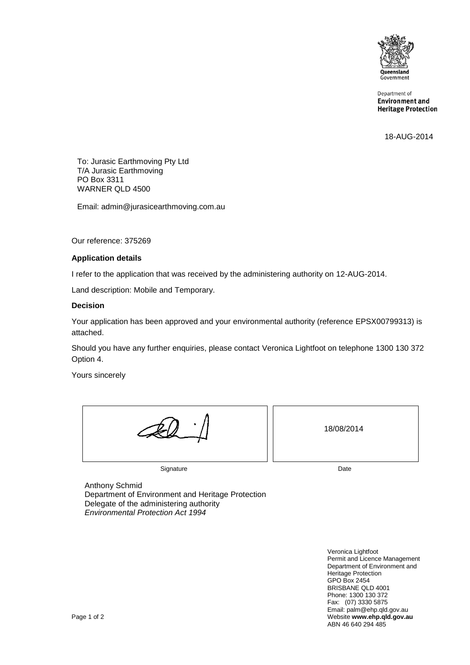

Department of **Environment and Heritage Protection** 

18-AUG-2014

To: Jurasic Earthmoving Pty Ltd T/A Jurasic Earthmoving PO Box 3311 WARNER QLD 4500

Email: admin@jurasicearthmoving.com.au

Our reference: 375269

#### **Application details**

I refer to the application that was received by the administering authority on 12-AUG-2014.

Land description: Mobile and Temporary.

#### **Decision**

Your application has been approved and your environmental authority (reference EPSX00799313) is attached.

Should you have any further enquiries, please contact Veronica Lightfoot on telephone 1300 130 372 Option 4.

Yours sincerely

|           | 18/08/2014 |
|-----------|------------|
| Signature | Date       |

Anthony Schmid Department of Environment and Heritage Protection Delegate of the administering authority *Environmental Protection Act 1994*

Veronica Lightfoot Permit and Licence Management Department of Environment and Heritage Protection GPO Box 2454 BRISBANE QLD 4001 Phone: 1300 130 372 Fax: (07) 3330 5875 Email: palm@ehp.qld.gov.au Page 1 of 2 Website **www.ehp.qld.gov.au** ABN 46 640 294 485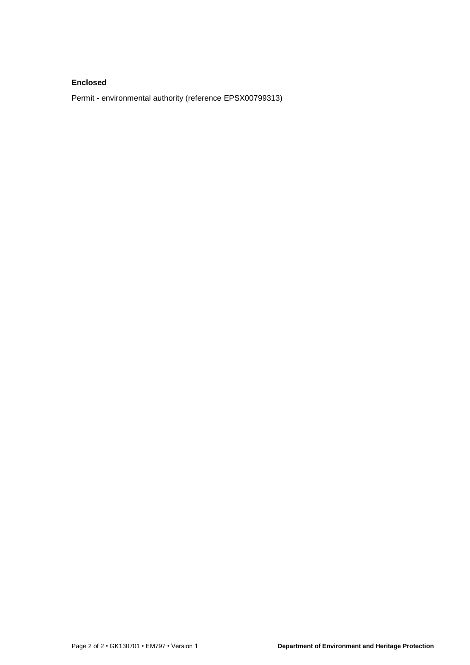#### **Enclosed**

Permit - environmental authority (reference EPSX00799313)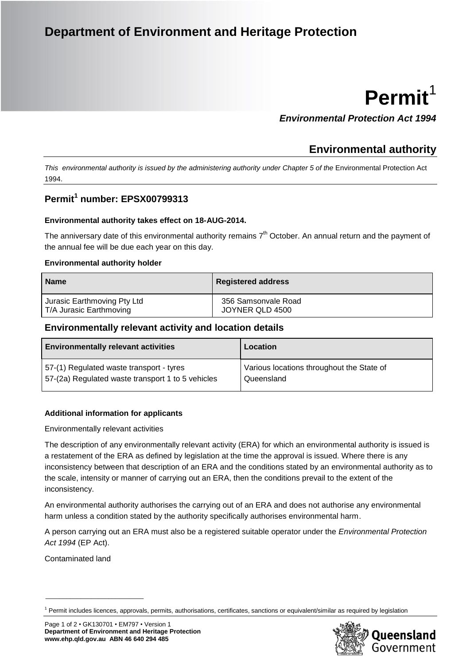## **Department of Environment and Heritage Protection**

# **Permit**<sup>1</sup>

*Environmental Protection Act 1994*

### **Environmental authority**

*This environmental authority is issued by the administering authority under Chapter 5 of the* Environmental Protection Act 1994.

#### **Permit<sup>1</sup> number: EPSX00799313**

#### **Environmental authority takes effect on 18-AUG-2014.**

The anniversary date of this environmental authority remains  $7<sup>th</sup>$  October. An annual return and the payment of the annual fee will be due each year on this day.

#### **Environmental authority holder**

| <b>Name</b>                 | <b>Registered address</b> |
|-----------------------------|---------------------------|
| Jurasic Earthmoving Pty Ltd | 356 Samsonvale Road       |
| T/A Jurasic Earthmoving     | JOYNER QLD 4500           |

#### **Environmentally relevant activity and location details**

| <b>Environmentally relevant activities</b>        | Location                                  |
|---------------------------------------------------|-------------------------------------------|
| 57-(1) Regulated waste transport - tyres          | Various locations throughout the State of |
| 57-(2a) Regulated waste transport 1 to 5 vehicles | Queensland                                |

#### **Additional information for applicants**

Environmentally relevant activities

The description of any environmentally relevant activity (ERA) for which an environmental authority is issued is a restatement of the ERA as defined by legislation at the time the approval is issued. Where there is any inconsistency between that description of an ERA and the conditions stated by an environmental authority as to the scale, intensity or manner of carrying out an ERA, then the conditions prevail to the extent of the inconsistency.

An environmental authority authorises the carrying out of an ERA and does not authorise any environmental harm unless a condition stated by the authority specifically authorises environmental harm.

A person carrying out an ERA must also be a registered suitable operator under the *Environmental Protection Act 1994* (EP Act).

Contaminated land

\_\_\_\_\_\_\_\_\_\_\_\_\_\_\_\_\_\_\_\_\_\_\_\_\_\_\_\_

 $<sup>1</sup>$  Permit includes licences, approvals, permits, authorisations, certificates, sanctions or equivalent/similar as required by legislation</sup>